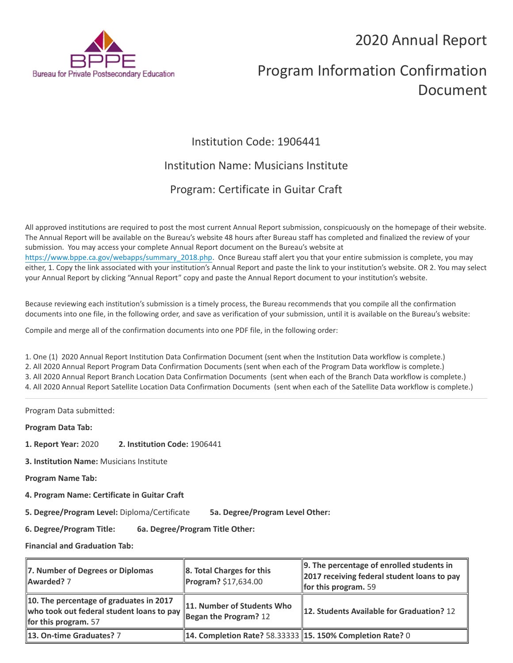## 2020 Annual Report



# Program Information Confirmation Document

## Institution Code: 1906441

### Institution Name: Musicians Institute

## Program: Certificate in Guitar Craft

All approved institutions are required to post the most current Annual Report submission, conspicuously on the homepage of their website. The Annual Report will be available on the Bureau's website 48 hours after Bureau staff has completed and finalized the review of your submission. You may access your complete Annual Report document on the Bureau's website at [https://www.bppe.ca.gov/webapps/summary\\_2018.php.](https://www.bppe.ca.gov/webapps/summary_2018.php) Once Bureau staff alert you that your entire submission is complete, you may either, 1. Copy the link associated with your institution's Annual Report and paste the link to your institution's website. OR 2. You may select your Annual Report by clicking "Annual Report" copy and paste the Annual Report document to your institution's website.

Because reviewing each institution's submission is a timely process, the Bureau recommends that you compile all the confirmation documents into one file, in the following order, and save as verification of your submission, until it is available on the Bureau's website:

Compile and merge all of the confirmation documents into one PDF file, in the following order:

1. One (1) 2020 Annual Report Institution Data Confirmation Document (sent when the Institution Data workflow is complete.) 2. All 2020 Annual Report Program Data Confirmation Documents (sent when each of the Program Data workflow is complete.) 3. All 2020 Annual Report Branch Location Data Confirmation Documents (sent when each of the Branch Data workflow is complete.) 4. All 2020 Annual Report Satellite Location Data Confirmation Documents (sent when each of the Satellite Data workflow is complete.)

Program Data submitted:

**Program Data Tab:**

- **1. Report Year:** 2020 **2. Institution Code:** 1906441
- **3. Institution Name:** Musicians Institute
- **Program Name Tab:**
- **4. Program Name: Certificate in Guitar Craft**

**5. Degree/Program Level:** Diploma/Certificate **5a. Degree/Program Level Other:**

**6. Degree/Program Title: 6a. Degree/Program Title Other:**

**Financial and Graduation Tab:**

| 7. Number of Degrees or Diplomas<br>Awarded? 7                                                                 | $\ 8.$ Total Charges for this<br>Program? \$17,634.00            | 9. The percentage of enrolled students in<br>2017 receiving federal student loans to pay<br><b>for this program.</b> 59 |
|----------------------------------------------------------------------------------------------------------------|------------------------------------------------------------------|-------------------------------------------------------------------------------------------------------------------------|
| 10. The percentage of graduates in 2017<br>who took out federal student loans to pay<br>for this program. $57$ | 11. Number of Students Who<br>Began the Program? 12              | 12. Students Available for Graduation? 12                                                                               |
| 13. On-time Graduates? 7                                                                                       | <b>14. Completion Rate? 58.33333 15. 150% Completion Rate? 0</b> |                                                                                                                         |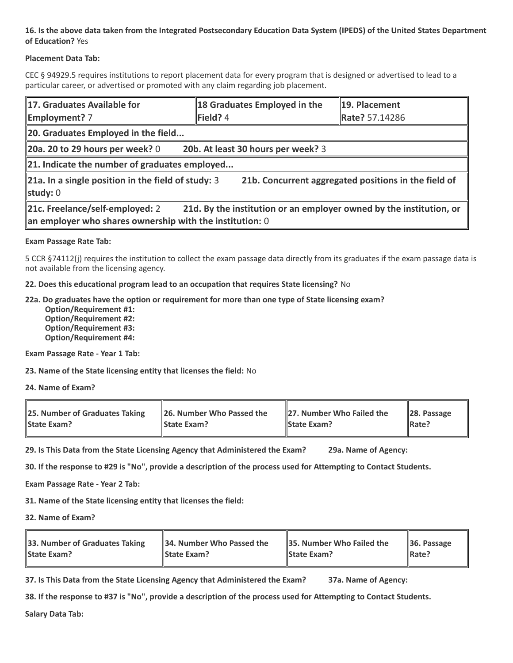#### **16. Is the above data taken from the Integrated Postsecondary Education Data System (IPEDS) of the United States Department of Education?** Yes

#### **Placement Data Tab:**

CEC § 94929.5 requires institutions to report placement data for every program that is designed or advertised to lead to a particular career, or advertised or promoted with any claim regarding job placement.

| 17. Graduates Available for<br><b>Employment?</b> 7                                                                                                                  | 18 Graduates Employed in the<br>$\blacktriangleright$ Field? 4 | 19. Placement<br>Rate? 57.14286 |  |  |
|----------------------------------------------------------------------------------------------------------------------------------------------------------------------|----------------------------------------------------------------|---------------------------------|--|--|
| 20. Graduates Employed in the field                                                                                                                                  |                                                                |                                 |  |  |
| 20a. 20 to 29 hours per week? $0$<br>20b. At least 30 hours per week? 3                                                                                              |                                                                |                                 |  |  |
| $\ $ 21. Indicate the number of graduates employed                                                                                                                   |                                                                |                                 |  |  |
| $\ $ 21a. In a single position in the field of study: 3<br>21b. Concurrent aggregated positions in the field of<br>study: $0$                                        |                                                                |                                 |  |  |
| 21c. Freelance/self-employed: 2<br>21d. By the institution or an employer owned by the institution, or<br>an employer who shares ownership with the institution: $0$ |                                                                |                                 |  |  |

#### **Exam Passage Rate Tab:**

5 CCR §74112(j) requires the institution to collect the exam passage data directly from its graduates if the exam passage data is not available from the licensing agency.

**22. Does this educational program lead to an occupation that requires State licensing?** No

#### **22a. Do graduates have the option or requirement for more than one type of State licensing exam?**

 **Option/Requirement #1: Option/Requirement #2: Option/Requirement #3: Option/Requirement #4:**

**Exam Passage Rate - Year 1 Tab:**

**23. Name of the State licensing entity that licenses the field:** No

**24. Name of Exam?**

| 25. Number of Graduates Taking | 26. Number Who Passed the | 27. Number Who Failed the | $\ $ 28. Passage |
|--------------------------------|---------------------------|---------------------------|------------------|
| <b>State Exam?</b>             | <b>State Exam?</b>        | <b>State Exam?</b>        | Rate?            |

**29. Is This Data from the State Licensing Agency that Administered the Exam? 29a. Name of Agency:**

**30. If the response to #29 is "No", provide a description of the process used for Attempting to Contact Students.**

**Exam Passage Rate - Year 2 Tab:**

**31. Name of the State licensing entity that licenses the field:**

**32. Name of Exam?**

| 33. Number of Graduates Taking | 34. Number Who Passed the | <b>35. Number Who Failed the</b> | $\parallel$ 36. Passage |
|--------------------------------|---------------------------|----------------------------------|-------------------------|
| <b>State Exam?</b>             | <b>State Exam?</b>        | <b>State Exam?</b>               | $\parallel$ Rate?       |

**37. Is This Data from the State Licensing Agency that Administered the Exam? 37a. Name of Agency:**

**38. If the response to #37 is "No", provide a description of the process used for Attempting to Contact Students.** 

**Salary Data Tab:**